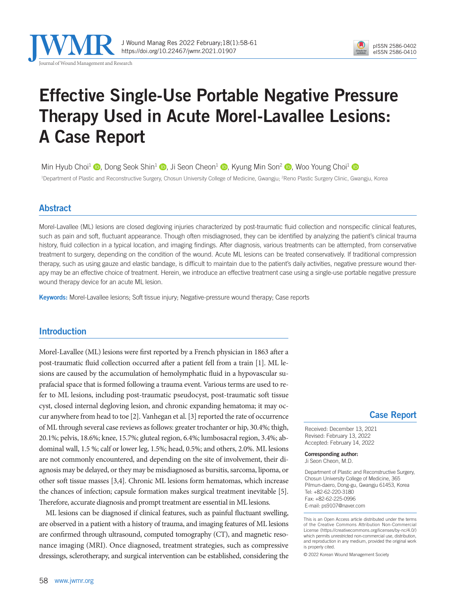

# Effective Single-Use Portable Negative Pressure Therapy Used in Acute Morel-Lavallee Lesions: A Case Report

Min Hyub Choi<sup>1</sup>  $\bullet$ [,](https://orcid.org/0000-0001-5825-0270) Dong Seok Shin<sup>1</sup>  $\bullet$ , Ji Seon Cheon<sup>1</sup>  $\bullet$ , Kyung Min Son<sup>2</sup>  $\bullet$ , Woo Young Choi<sup>1</sup>  $\bullet$ 

<sup>1</sup>Department of Plastic and Reconstructive Surgery, Chosun University College of Medicine, Gwangju; <sup>2</sup>Reno Plastic Surgery Clinic, Gwangju, Korea

### Abstract

Morel-Lavallee (ML) lesions are closed degloving injuries characterized by post-traumatic fluid collection and nonspecific clinical features, such as pain and soft, fluctuant appearance. Though often misdiagnosed, they can be identified by analyzing the patient's clinical trauma history, fluid collection in a typical location, and imaging findings. After diagnosis, various treatments can be attempted, from conservative treatment to surgery, depending on the condition of the wound. Acute ML lesions can be treated conservatively. If traditional compression therapy, such as using gauze and elastic bandage, is difficult to maintain due to the patient's daily activities, negative pressure wound therapy may be an effective choice of treatment. Herein, we introduce an effective treatment case using a single-use portable negative pressure wound therapy device for an acute ML lesion.

Keywords: Morel-Lavallee lesions; Soft tissue injury; Negative-pressure wound therapy; Case reports

# Introduction

Morel-Lavallee (ML) lesions were first reported by a French physician in 1863 after a post-traumatic fluid collection occurred after a patient fell from a train [1]. ML lesions are caused by the accumulation of hemolymphatic fluid in a hypovascular suprafacial space that is formed following a trauma event. Various terms are used to refer to ML lesions, including post-traumatic pseudocyst, post-traumatic soft tissue cyst, closed internal degloving lesion, and chronic expanding hematoma; it may occur anywhere from head to toe [2]. Vanhegan et al. [3] reported the rate of occurrence of ML through several case reviews as follows: greater trochanter or hip, 30.4%; thigh, 20.1%; pelvis, 18.6%; knee, 15.7%; gluteal region, 6.4%; lumbosacral region, 3.4%; abdominal wall, 1.5 %; calf or lower leg, 1.5%; head, 0.5%; and others, 2.0%. ML lesions are not commonly encountered, and depending on the site of involvement, their diagnosis may be delayed, or they may be misdiagnosed as bursitis, sarcoma, lipoma, or other soft tissue masses [3,4]. Chronic ML lesions form hematomas, which increase the chances of infection; capsule formation makes surgical treatment inevitable [5]. Therefore, accurate diagnosis and prompt treatment are essential in ML lesions.

ML lesions can be diagnosed if clinical features, such as painful fluctuant swelling, are observed in a patient with a history of trauma, and imaging features of ML lesions are confirmed through ultrasound, computed tomography (CT), and magnetic resonance imaging (MRI). Once diagnosed, treatment strategies, such as compressive dressings, sclerotherapy, and surgical intervention can be established, considering the

### Case Report

Received: December 13, 2021 Revised: February 13, 2022 Accepted: February 14, 2022

Corresponding author: Ji Seon Cheon, M.D.

Department of Plastic and Reconstructive Surgery, Chosun University College of Medicine, 365 Pilmun-daero, Dong-gu, Gwangju 61453, Korea Tel: +82-62-220-3180 Fax: +82-62-225-0996 E-mail: ps9107@naver.com

This is an Open Access article distributed under the terms of the Creative Commons Attribution Non-Commercial License (https://creativecommons.org/licenses/by-nc/4.0/) which permits unrestricted non-commercial use, distribution, and reproduction in any medium, provided the original work is properly cited.

© 2022 Korean Wound Management Society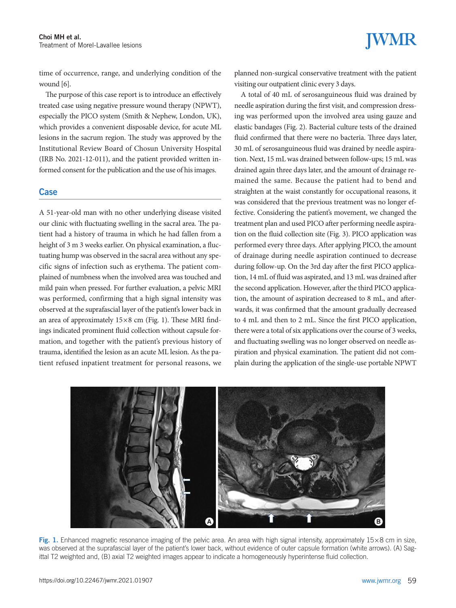time of occurrence, range, and underlying condition of the wound [6].

The purpose of this case report is to introduce an effectively treated case using negative pressure wound therapy (NPWT), especially the PICO system (Smith & Nephew, London, UK), which provides a convenient disposable device, for acute ML lesions in the sacrum region. The study was approved by the Institutional Review Board of Chosun University Hospital (IRB No. 2021-12-011), and the patient provided written informed consent for the publication and the use of his images.

### Case

A 51-year-old man with no other underlying disease visited our clinic with fluctuating swelling in the sacral area. The patient had a history of trauma in which he had fallen from a height of 3 m 3 weeks earlier. On physical examination, a fluctuating hump was observed in the sacral area without any specific signs of infection such as erythema. The patient complained of numbness when the involved area was touched and mild pain when pressed. For further evaluation, a pelvic MRI was performed, confirming that a high signal intensity was observed at the suprafascial layer of the patient's lower back in an area of approximately 15×8 cm (Fig. 1). These MRI findings indicated prominent fluid collection without capsule formation, and together with the patient's previous history of trauma, identified the lesion as an acute ML lesion. As the patient refused inpatient treatment for personal reasons, we

planned non-surgical conservative treatment with the patient visiting our outpatient clinic every 3 days.

A total of 40 mL of serosanguineous fluid was drained by needle aspiration during the first visit, and compression dressing was performed upon the involved area using gauze and elastic bandages (Fig. 2). Bacterial culture tests of the drained fluid confirmed that there were no bacteria. Three days later, 30 mL of serosanguineous fluid was drained by needle aspiration. Next, 15 mL was drained between follow-ups; 15 mL was drained again three days later, and the amount of drainage remained the same. Because the patient had to bend and straighten at the waist constantly for occupational reasons, it was considered that the previous treatment was no longer effective. Considering the patient's movement, we changed the treatment plan and used PICO after performing needle aspiration on the fluid collection site (Fig. 3). PICO application was performed every three days. After applying PICO, the amount of drainage during needle aspiration continued to decrease during follow-up. On the 3rd day after the first PICO application, 14 mL of fluid was aspirated, and 13 mL was drained after the second application. However, after the third PICO application, the amount of aspiration decreased to 8 mL, and afterwards, it was confirmed that the amount gradually decreased to 4 mL and then to 2 mL. Since the first PICO application, there were a total of six applications over the course of 3 weeks, and fluctuating swelling was no longer observed on needle aspiration and physical examination. The patient did not complain during the application of the single-use portable NPWT



Fig. 1. Enhanced magnetic resonance imaging of the pelvic area. An area with high signal intensity, approximately  $15\times8$  cm in size, was observed at the suprafascial layer of the patient's lower back, without evidence of outer capsule formation (white arrows). (A) Sagittal T2 weighted and, (B) axial T2 weighted images appear to indicate a homogeneously hyperintense fluid collection.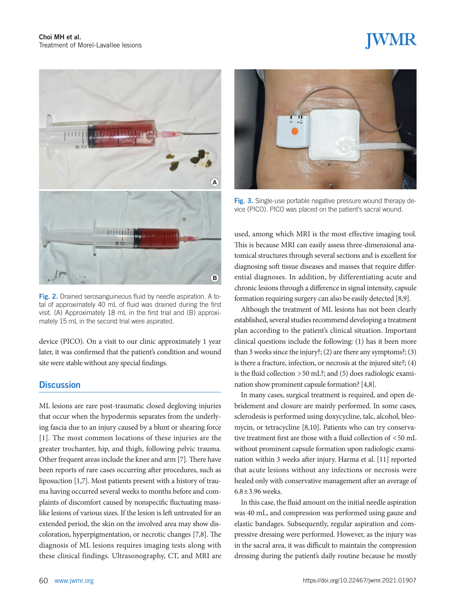

Fig. 2. Drained serosanguineous fluid by needle aspiration. A total of approximately 40 mL of fluid was drained during the first visit. (A) Approximately 18 mL in the first trial and (B) approximately 15 mL in the second trial were aspirated.

device (PICO). On a visit to our clinic approximately 1 year later, it was confirmed that the patient's condition and wound site were stable without any special findings.

### **Discussion**

ML lesions are rare post-traumatic closed degloving injuries that occur when the hypodermis separates from the underlying fascia due to an injury caused by a blunt or shearing force [1]. The most common locations of these injuries are the greater trochanter, hip, and thigh, following pelvic trauma. Other frequent areas include the knee and arm [7]. There have been reports of rare cases occurring after procedures, such as liposuction [1,7]. Most patients present with a history of trauma having occurred several weeks to months before and complaints of discomfort caused by nonspecific fluctuating masslike lesions of various sizes. If the lesion is left untreated for an extended period, the skin on the involved area may show discoloration, hyperpigmentation, or necrotic changes [7,8]. The diagnosis of ML lesions requires imaging tests along with these clinical findings. Ultrasonography, CT, and MRI are



Fig. 3. Single-use portable negative pressure wound therapy device (PICO). PICO was placed on the patient's sacral wound.

used, among which MRI is the most effective imaging tool. This is because MRI can easily assess three-dimensional anatomical structures through several sections and is excellent for diagnosing soft tissue diseases and masses that require differential diagnoses. In addition, by differentiating acute and chronic lesions through a difference in signal intensity, capsule formation requiring surgery can also be easily detected [8,9].

Although the treatment of ML lesions has not been clearly established, several studies recommend developing a treatment plan according to the patient's clinical situation. Important clinical questions include the following: (1) has it been more than 3 weeks since the injury?; (2) are there any symptoms?; (3) is there a fracture, infection, or necrosis at the injured site?; (4) is the fluid collection >50 mL?; and (5) does radiologic examination show prominent capsule formation? [4,8].

In many cases, surgical treatment is required, and open debridement and closure are mainly performed. In some cases, sclerodesis is performed using doxycycline, talc, alcohol, bleomycin, or tetracycline [8,10]. Patients who can try conservative treatment first are those with a fluid collection of <50 mL without prominent capsule formation upon radiologic examination within 3 weeks after injury. Harma et al. [11] reported that acute lesions without any infections or necrosis were healed only with conservative management after an average of 6.8±3.96 weeks.

In this case, the fluid amount on the initial needle aspiration was 40 mL, and compression was performed using gauze and elastic bandages. Subsequently, regular aspiration and compressive dressing were performed. However, as the injury was in the sacral area, it was difficult to maintain the compression dressing during the patient's daily routine because he mostly